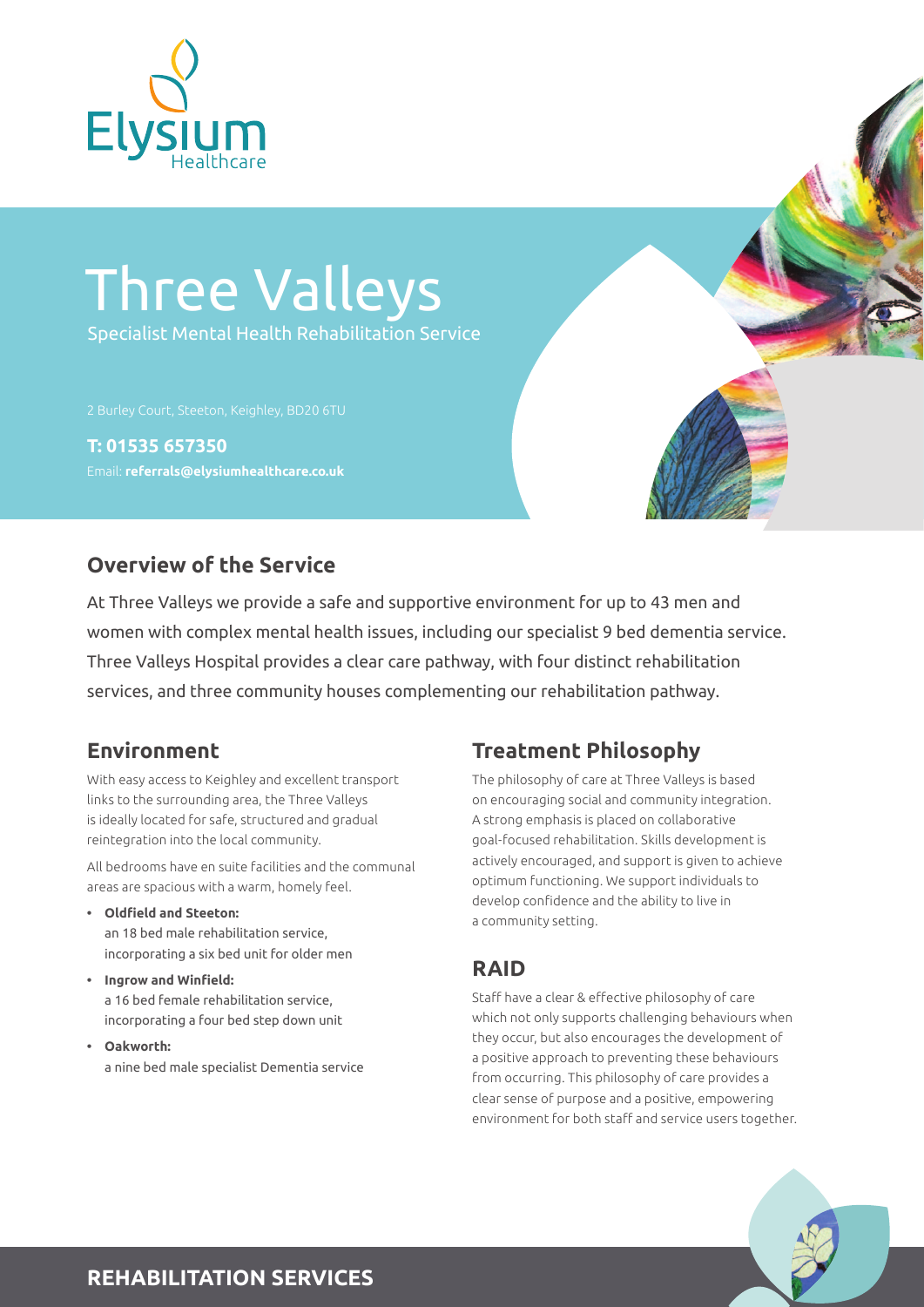

# Three Valleys Specialist Mental Health Rehabilitation Service

**T: 01535 657350** Email: **referrals@elysiumhealthcare.co.uk**

### **Overview of the Service**

At Three Valleys we provide a safe and supportive environment for up to 43 men and women with complex mental health issues, including our specialist 9 bed dementia service. Three Valleys Hospital provides a clear care pathway, with four distinct rehabilitation services, and three community houses complementing our rehabilitation pathway.

With easy access to Keighley and excellent transport links to the surrounding area, the Three Valleys is ideally located for safe, structured and gradual reintegration into the local community.

All bedrooms have en suite facilities and the communal areas are spacious with a warm, homely feel.

- **• Oldfield and Steeton:** an 18 bed male rehabilitation service, incorporating a six bed unit for older men
- **• Ingrow and Winfield:** a 16 bed female rehabilitation service, incorporating a four bed step down unit
- **• Oakworth:** a nine bed male specialist Dementia service

## **Environment Treatment Philosophy**

The philosophy of care at Three Valleys is based on encouraging social and community integration. A strong emphasis is placed on collaborative goal-focused rehabilitation. Skills development is actively encouraged, and support is given to achieve optimum functioning. We support individuals to develop confidence and the ability to live in a community setting.

#### **RAID**

Staff have a clear & effective philosophy of care which not only supports challenging behaviours when they occur, but also encourages the development of a positive approach to preventing these behaviours from occurring. This philosophy of care provides a clear sense of purpose and a positive, empowering environment for both staff and service users together.